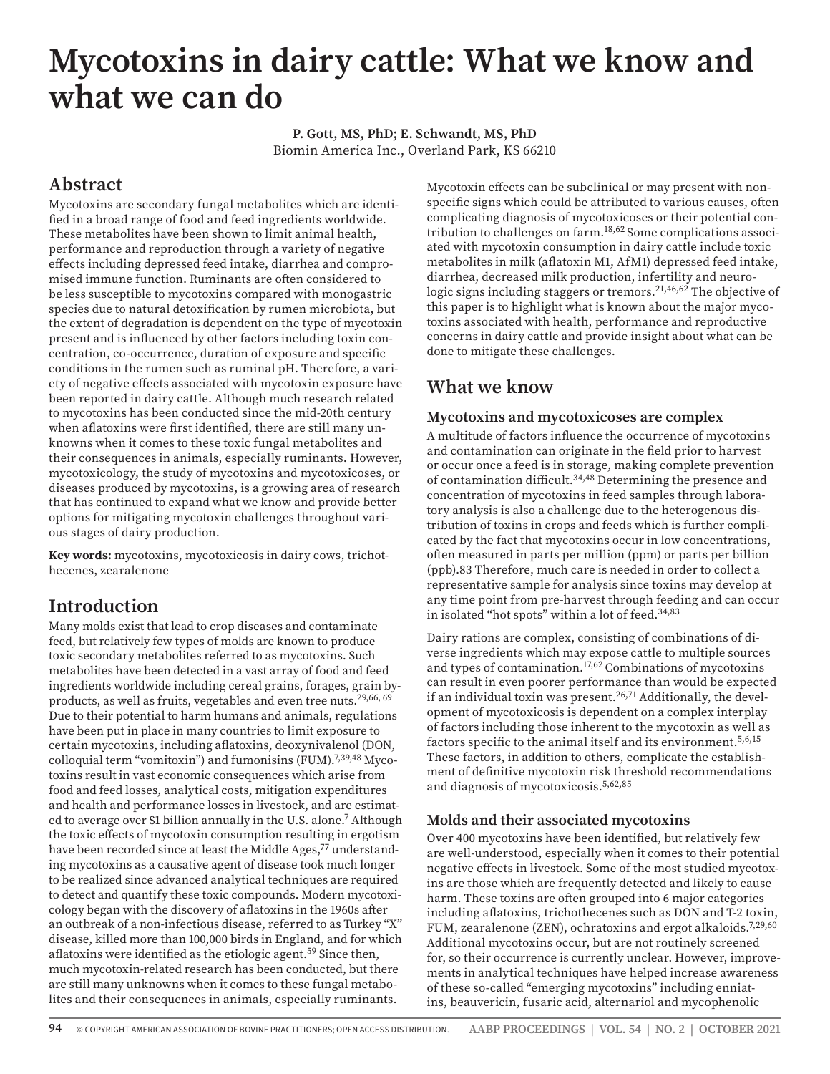# **Mycotoxins in dairy cattle: What we know and what we can do**

**P. Gott, MS, PhD; E. Schwandt, MS, PhD** Biomin America Inc., Overland Park, KS 66210

## **Abstract**

Mycotoxins are secondary fungal metabolites which are identified in a broad range of food and feed ingredients worldwide. These metabolites have been shown to limit animal health, performance and reproduction through a variety of negative effects including depressed feed intake, diarrhea and compromised immune function. Ruminants are often considered to be less susceptible to mycotoxins compared with monogastric species due to natural detoxification by rumen microbiota, but the extent of degradation is dependent on the type of mycotoxin present and is influenced by other factors including toxin concentration, co-occurrence, duration of exposure and specific conditions in the rumen such as ruminal pH. Therefore, a variety of negative effects associated with mycotoxin exposure have been reported in dairy cattle. Although much research related to mycotoxins has been conducted since the mid-20th century when aflatoxins were first identified, there are still many unknowns when it comes to these toxic fungal metabolites and their consequences in animals, especially ruminants. However, mycotoxicology, the study of mycotoxins and mycotoxicoses, or diseases produced by mycotoxins, is a growing area of research that has continued to expand what we know and provide better options for mitigating mycotoxin challenges throughout various stages of dairy production.

**Key words:** mycotoxins, mycotoxicosis in dairy cows, trichothecenes, zearalenone

## **Introduction**

Many molds exist that lead to crop diseases and contaminate feed, but relatively few types of molds are known to produce toxic secondary metabolites referred to as mycotoxins. Such metabolites have been detected in a vast array of food and feed ingredients worldwide including cereal grains, forages, grain byproducts, as well as fruits, vegetables and even tree nuts.<sup>29,66, 69</sup> Due to their potential to harm humans and animals, regulations have been put in place in many countries to limit exposure to certain mycotoxins, including aflatoxins, deoxynivalenol (DON, colloquial term "vomitoxin") and fumonisins (FUM).<sup>7,39,48</sup> Mycotoxins result in vast economic consequences which arise from food and feed losses, analytical costs, mitigation expenditures and health and performance losses in livestock, and are estimated to average over \$1 billion annually in the U.S. alone.7 Although the toxic effects of mycotoxin consumption resulting in ergotism have been recorded since at least the Middle Ages,<sup>77</sup> understanding mycotoxins as a causative agent of disease took much longer to be realized since advanced analytical techniques are required to detect and quantify these toxic compounds. Modern mycotoxicology began with the discovery of aflatoxins in the 1960s after an outbreak of a non-infectious disease, referred to as Turkey "X" disease, killed more than 100,000 birds in England, and for which aflatoxins were identified as the etiologic agent.<sup>59</sup> Since then, much mycotoxin-related research has been conducted, but there are still many unknowns when it comes to these fungal metabolites and their consequences in animals, especially ruminants.

Mycotoxin effects can be subclinical or may present with nonspecific signs which could be attributed to various causes, often complicating diagnosis of mycotoxicoses or their potential contribution to challenges on farm.18,62 Some complications associated with mycotoxin consumption in dairy cattle include toxic metabolites in milk (aflatoxin M1, AfM1) depressed feed intake, diarrhea, decreased milk production, infertility and neurologic signs including staggers or tremors.<sup>21,46,62</sup> The objective of this paper is to highlight what is known about the major mycotoxins associated with health, performance and reproductive concerns in dairy cattle and provide insight about what can be done to mitigate these challenges.

## **What we know**

#### **Mycotoxins and mycotoxicoses are complex**

A multitude of factors influence the occurrence of mycotoxins and contamination can originate in the field prior to harvest or occur once a feed is in storage, making complete prevention of contamination difficult.34,48 Determining the presence and concentration of mycotoxins in feed samples through laboratory analysis is also a challenge due to the heterogenous distribution of toxins in crops and feeds which is further complicated by the fact that mycotoxins occur in low concentrations, often measured in parts per million (ppm) or parts per billion (ppb).83 Therefore, much care is needed in order to collect a representative sample for analysis since toxins may develop at any time point from pre-harvest through feeding and can occur in isolated "hot spots" within a lot of feed.<sup>34,83</sup>

Dairy rations are complex, consisting of combinations of diverse ingredients which may expose cattle to multiple sources and types of contamination.17,62 Combinations of mycotoxins can result in even poorer performance than would be expected if an individual toxin was present.<sup>26,71</sup> Additionally, the development of mycotoxicosis is dependent on a complex interplay of factors including those inherent to the mycotoxin as well as factors specific to the animal itself and its environment.5,6,15 These factors, in addition to others, complicate the establishment of definitive mycotoxin risk threshold recommendations and diagnosis of mycotoxicosis.5,62,85

#### **Molds and their associated mycotoxins**

Over 400 mycotoxins have been identified, but relatively few are well-understood, especially when it comes to their potential negative effects in livestock. Some of the most studied mycotoxins are those which are frequently detected and likely to cause harm. These toxins are often grouped into 6 major categories including aflatoxins, trichothecenes such as DON and T-2 toxin, FUM, zearalenone (ZEN), ochratoxins and ergot alkaloids.<sup>7,29,60</sup> Additional mycotoxins occur, but are not routinely screened for, so their occurrence is currently unclear. However, improvements in analytical techniques have helped increase awareness of these so-called "emerging mycotoxins" including enniatins, beauvericin, fusaric acid, alternariol and mycophenolic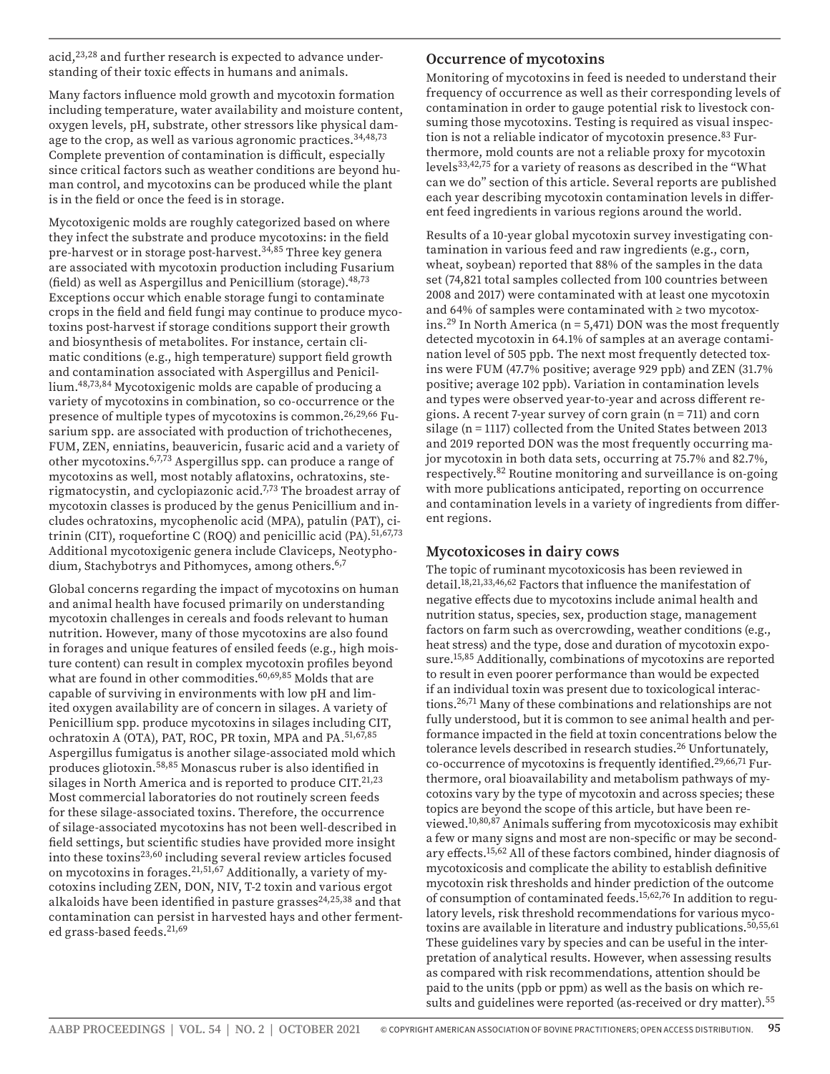acid,<sup>23,28</sup> and further research is expected to advance understanding of their toxic effects in humans and animals.

Many factors influence mold growth and mycotoxin formation including temperature, water availability and moisture content, oxygen levels, pH, substrate, other stressors like physical damage to the crop, as well as various agronomic practices.<sup>34,48,73</sup> Complete prevention of contamination is difficult, especially since critical factors such as weather conditions are beyond human control, and mycotoxins can be produced while the plant is in the field or once the feed is in storage.

Mycotoxigenic molds are roughly categorized based on where they infect the substrate and produce mycotoxins: in the field pre-harvest or in storage post-harvest.<sup>34,85</sup> Three key genera are associated with mycotoxin production including Fusarium (field) as well as Aspergillus and Penicillium (storage).  $48,73$ Exceptions occur which enable storage fungi to contaminate crops in the field and field fungi may continue to produce mycotoxins post-harvest if storage conditions support their growth and biosynthesis of metabolites. For instance, certain climatic conditions (e.g., high temperature) support field growth and contamination associated with Aspergillus and Penicillium.48,73,84 Mycotoxigenic molds are capable of producing a variety of mycotoxins in combination, so co-occurrence or the presence of multiple types of mycotoxins is common.<sup>26,29,66</sup> Fusarium spp. are associated with production of trichothecenes, FUM, ZEN, enniatins, beauvericin, fusaric acid and a variety of other mycotoxins.6,7,73 Aspergillus spp. can produce a range of mycotoxins as well, most notably aflatoxins, ochratoxins, sterigmatocystin, and cyclopiazonic acid.7,73 The broadest array of mycotoxin classes is produced by the genus Penicillium and includes ochratoxins, mycophenolic acid (MPA), patulin (PAT), citrinin (CIT), roquefortine C (ROQ) and penicillic acid (PA).<sup>51,67,73</sup> Additional mycotoxigenic genera include Claviceps, Neotyphodium, Stachybotrys and Pithomyces, among others.<sup>6,7</sup>

Global concerns regarding the impact of mycotoxins on human and animal health have focused primarily on understanding mycotoxin challenges in cereals and foods relevant to human nutrition. However, many of those mycotoxins are also found in forages and unique features of ensiled feeds (e.g., high moisture content) can result in complex mycotoxin profiles beyond what are found in other commodities.<sup>60,69,85</sup> Molds that are capable of surviving in environments with low pH and limited oxygen availability are of concern in silages. A variety of Penicillium spp. produce mycotoxins in silages including CIT, ochratoxin A (OTA), PAT, ROC, PR toxin, MPA and PA.<sup>51,67,85</sup> Aspergillus fumigatus is another silage-associated mold which produces gliotoxin.58,85 Monascus ruber is also identified in silages in North America and is reported to produce CIT. $21,23$ Most commercial laboratories do not routinely screen feeds for these silage-associated toxins. Therefore, the occurrence of silage-associated mycotoxins has not been well-described in field settings, but scientific studies have provided more insight into these toxins<sup>23,60</sup> including several review articles focused on mycotoxins in forages.21,51,67 Additionally, a variety of mycotoxins including ZEN, DON, NIV, T-2 toxin and various ergot alkaloids have been identified in pasture grasses $24,25,38$  and that contamination can persist in harvested hays and other fermented grass-based feeds.21,69

#### **Occurrence of mycotoxins**

Monitoring of mycotoxins in feed is needed to understand their frequency of occurrence as well as their corresponding levels of contamination in order to gauge potential risk to livestock consuming those mycotoxins. Testing is required as visual inspection is not a reliable indicator of mycotoxin presence.<sup>83</sup> Furthermore, mold counts are not a reliable proxy for mycotoxin levels<sup>33,42,75</sup> for a variety of reasons as described in the "What can we do" section of this article. Several reports are published each year describing mycotoxin contamination levels in different feed ingredients in various regions around the world.

Results of a 10-year global mycotoxin survey investigating contamination in various feed and raw ingredients (e.g., corn, wheat, soybean) reported that 88% of the samples in the data set (74,821 total samples collected from 100 countries between 2008 and 2017) were contaminated with at least one mycotoxin and 64% of samples were contaminated with ≥ two mycotoxins.<sup>29</sup> In North America ( $n = 5,471$ ) DON was the most frequently detected mycotoxin in 64.1% of samples at an average contamination level of 505 ppb. The next most frequently detected toxins were FUM (47.7% positive; average 929 ppb) and ZEN (31.7% positive; average 102 ppb). Variation in contamination levels and types were observed year-to-year and across different regions. A recent 7-year survey of corn grain (n = 711) and corn silage (n = 1117) collected from the United States between 2013 and 2019 reported DON was the most frequently occurring major mycotoxin in both data sets, occurring at 75.7% and 82.7%, respectively.82 Routine monitoring and surveillance is on-going with more publications anticipated, reporting on occurrence and contamination levels in a variety of ingredients from different regions.

#### **Mycotoxicoses in dairy cows**

The topic of ruminant mycotoxicosis has been reviewed in detail.<sup>18,21,33,46,62</sup> Factors that influence the manifestation of negative effects due to mycotoxins include animal health and nutrition status, species, sex, production stage, management factors on farm such as overcrowding, weather conditions (e.g., heat stress) and the type, dose and duration of mycotoxin exposure.15,85 Additionally, combinations of mycotoxins are reported to result in even poorer performance than would be expected if an individual toxin was present due to toxicological interactions.26,71 Many of these combinations and relationships are not fully understood, but it is common to see animal health and performance impacted in the field at toxin concentrations below the tolerance levels described in research studies.<sup>26</sup> Unfortunately, co-occurrence of mycotoxins is frequently identified.<sup>29,66,71</sup> Furthermore, oral bioavailability and metabolism pathways of mycotoxins vary by the type of mycotoxin and across species; these topics are beyond the scope of this article, but have been reviewed.10,80,87 Animals suffering from mycotoxicosis may exhibit a few or many signs and most are non-specific or may be secondary effects.15,62 All of these factors combined, hinder diagnosis of mycotoxicosis and complicate the ability to establish definitive mycotoxin risk thresholds and hinder prediction of the outcome of consumption of contaminated feeds.15,62,76 In addition to regulatory levels, risk threshold recommendations for various mycotoxins are available in literature and industry publications.<sup>50,55,61</sup> These guidelines vary by species and can be useful in the interpretation of analytical results. However, when assessing results as compared with risk recommendations, attention should be paid to the units (ppb or ppm) as well as the basis on which results and guidelines were reported (as-received or dry matter).<sup>55</sup>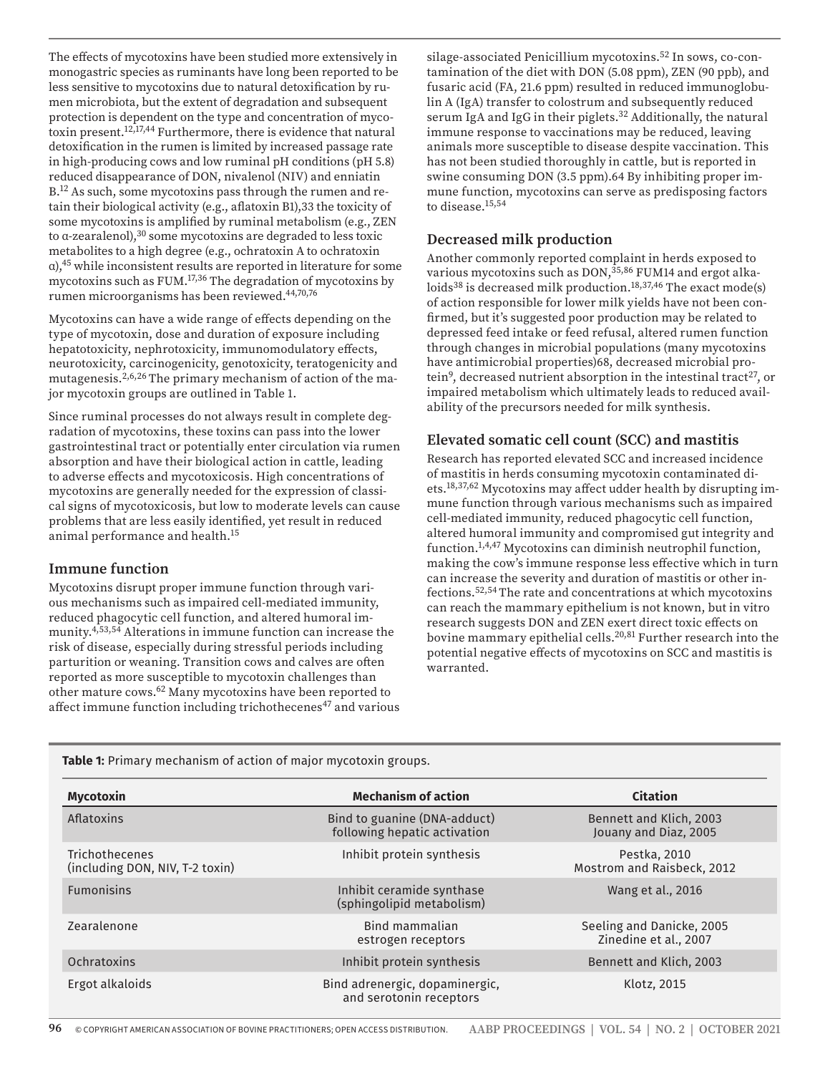risk of disease, especially during stressful periods including parturition or weaning. Transition cows and calves are often reported as more susceptible to mycotoxin challenges than other mature cows.62 Many mycotoxins have been reported to affect immune function including trichothecenes<sup>47</sup> and various warranted. **Table 1:** Primary mechanism of action of major mycotoxin groups.

> Trichothecenes (including DON, NIV, T-2 toxin) Mostrom and Raisbeck, 2012 Fumonisins Inhibit ceramide synthase (sphingolipid metabolism) Wang et al., 2016 Zearalenone Bind mammalian estrogen receptors Seeling and Danicke, 2005 Zinedine et al., 2007 Ochratoxins Inhibit protein synthesis Bennett and Klich, 2003 Ergot alkaloids Bind adrenergic, dopaminergic, and serotonin receptors Klotz, 2015

**Mycotoxin Mechanism of action Citation**

**96** © COPYRIGHT AMERICAN ASSOCIATION OF BOVINE PRACTITIONERS; OPEN ACCESS DISTRIBUTION. **AABP PROCEEDINGS | VOL. 54 | NO. 2 | OCTOBER 2021**

The effects of mycotoxins have been studied more extensively in monogastric species as ruminants have long been reported to be less sensitive to mycotoxins due to natural detoxification by rumen microbiota, but the extent of degradation and subsequent protection is dependent on the type and concentration of mycotoxin present.12,17,44 Furthermore, there is evidence that natural detoxification in the rumen is limited by increased passage rate in high-producing cows and low ruminal pH conditions (pH 5.8) reduced disappearance of DON, nivalenol (NIV) and enniatin B.<sup>12</sup> As such, some mycotoxins pass through the rumen and retain their biological activity (e.g., aflatoxin B1),33 the toxicity of some mycotoxins is amplified by ruminal metabolism (e.g., ZEN to α-zearalenol),30 some mycotoxins are degraded to less toxic metabolites to a high degree (e.g., ochratoxin A to ochratoxin α),45 while inconsistent results are reported in literature for some mycotoxins such as FUM.17,36 The degradation of mycotoxins by rumen microorganisms has been reviewed.44,70,76

Mycotoxins can have a wide range of effects depending on the type of mycotoxin, dose and duration of exposure including hepatotoxicity, nephrotoxicity, immunomodulatory effects, neurotoxicity, carcinogenicity, genotoxicity, teratogenicity and mutagenesis.2,6,26 The primary mechanism of action of the major mycotoxin groups are outlined in Table 1.

Since ruminal processes do not always result in complete degradation of mycotoxins, these toxins can pass into the lower gastrointestinal tract or potentially enter circulation via rumen absorption and have their biological action in cattle, leading to adverse effects and mycotoxicosis. High concentrations of mycotoxins are generally needed for the expression of classical signs of mycotoxicosis, but low to moderate levels can cause problems that are less easily identified, yet result in reduced animal performance and health.15

#### **Immune function**

Mycotoxins disrupt proper immune function through various mechanisms such as impaired cell-mediated immunity, reduced phagocytic cell function, and altered humoral immunity.4,53,54 Alterations in immune function can increase the silage-associated Penicillium mycotoxins.52 In sows, co-contamination of the diet with DON (5.08 ppm), ZEN (90 ppb), and fusaric acid (FA, 21.6 ppm) resulted in reduced immunoglobulin A (IgA) transfer to colostrum and subsequently reduced serum IgA and IgG in their piglets.32 Additionally, the natural immune response to vaccinations may be reduced, leaving animals more susceptible to disease despite vaccination. This has not been studied thoroughly in cattle, but is reported in swine consuming DON (3.5 ppm).64 By inhibiting proper immune function, mycotoxins can serve as predisposing factors to disease.<sup>15,54</sup>

#### **Decreased milk production**

Another commonly reported complaint in herds exposed to various mycotoxins such as DON,<sup>35,86</sup> FUM14 and ergot alkaloids<sup>38</sup> is decreased milk production.<sup>18,37,46</sup> The exact mode(s) of action responsible for lower milk yields have not been confirmed, but it's suggested poor production may be related to depressed feed intake or feed refusal, altered rumen function through changes in microbial populations (many mycotoxins have antimicrobial properties)68, decreased microbial protein<sup>9</sup>, decreased nutrient absorption in the intestinal tract<sup>27</sup>, or impaired metabolism which ultimately leads to reduced availability of the precursors needed for milk synthesis.

#### **Elevated somatic cell count (SCC) and mastitis**

Research has reported elevated SCC and increased incidence of mastitis in herds consuming mycotoxin contaminated diets.18,37,62 Mycotoxins may affect udder health by disrupting immune function through various mechanisms such as impaired cell-mediated immunity, reduced phagocytic cell function, altered humoral immunity and compromised gut integrity and function.1,4,47 Mycotoxins can diminish neutrophil function, making the cow's immune response less effective which in turn can increase the severity and duration of mastitis or other infections.52,54 The rate and concentrations at which mycotoxins can reach the mammary epithelium is not known, but in vitro research suggests DON and ZEN exert direct toxic effects on bovine mammary epithelial cells.<sup>20,81</sup> Further research into the potential negative effects of mycotoxins on SCC and mastitis is

| Aflatoxins                                               | Bind to guanine (DNA-adduct)<br>following hepatic activation | Bennett and Klich, 2003<br>Jouany and Diaz, 2005   |
|----------------------------------------------------------|--------------------------------------------------------------|----------------------------------------------------|
| <b>Trichothecenes</b><br>(including DON, NIV, T-2 toxin) | Inhibit protein synthesis                                    | Pestka, 2010<br>Mostrom and Raisbeck, 2012         |
| <b>Fumonisins</b>                                        | Inhibit ceramide synthase<br>(sphingolipid metabolism)       | Wang et al., 2016                                  |
| Zearalenone                                              | Bind mammalian<br>estrogen receptors                         | Seeling and Danicke, 2005<br>Zinedine et al., 2007 |
| Ochratoxins                                              | Inhibit protein synthesis                                    | Bennett and Klich, 2003                            |
| Ergot alkaloids                                          | Bind adrenergic, dopaminergic,<br>and serotonin receptors    | Klotz, 2015                                        |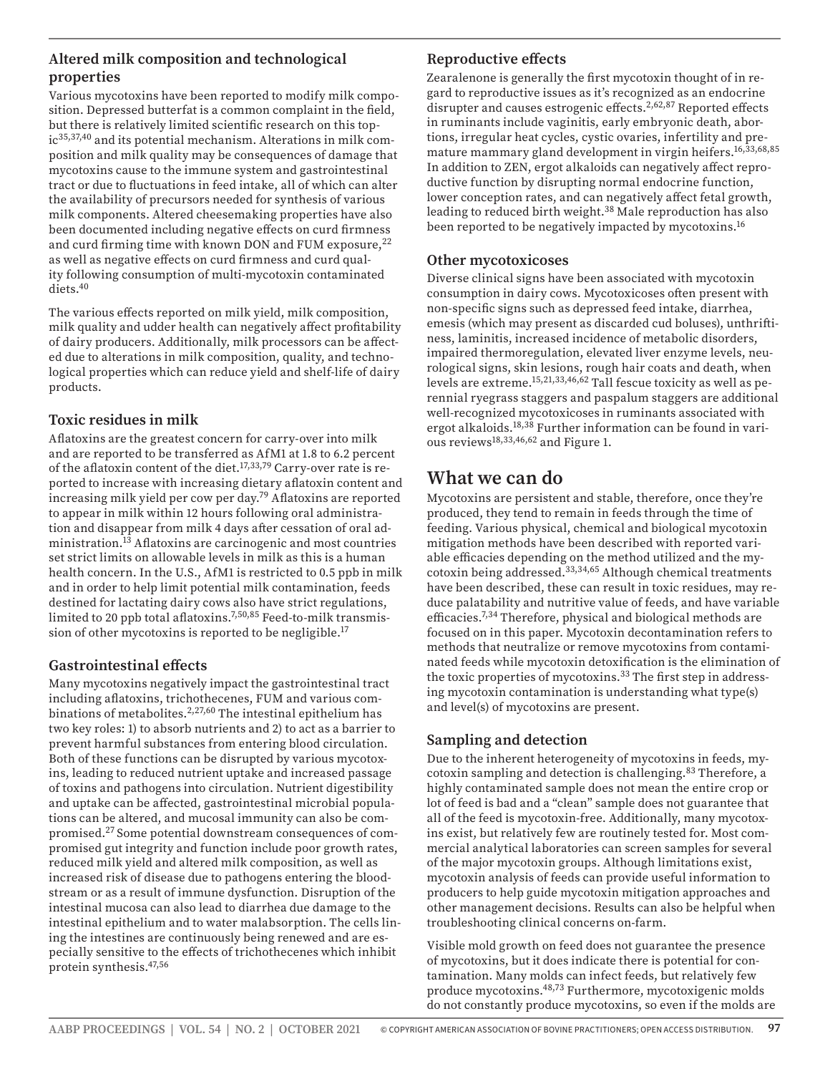#### **Altered milk composition and technological properties**

Various mycotoxins have been reported to modify milk composition. Depressed butterfat is a common complaint in the field, but there is relatively limited scientific research on this topic<sup>35,37,40</sup> and its potential mechanism. Alterations in milk composition and milk quality may be consequences of damage that mycotoxins cause to the immune system and gastrointestinal tract or due to fluctuations in feed intake, all of which can alter the availability of precursors needed for synthesis of various milk components. Altered cheesemaking properties have also been documented including negative effects on curd firmness and curd firming time with known DON and FUM exposure,<sup>22</sup> as well as negative effects on curd firmness and curd quality following consumption of multi-mycotoxin contaminated diets.40

The various effects reported on milk yield, milk composition, milk quality and udder health can negatively affect profitability of dairy producers. Additionally, milk processors can be affected due to alterations in milk composition, quality, and technological properties which can reduce yield and shelf-life of dairy products.

#### **Toxic residues in milk**

Aflatoxins are the greatest concern for carry-over into milk and are reported to be transferred as AfM1 at 1.8 to 6.2 percent of the aflatoxin content of the diet.<sup>17,33,79</sup> Carry-over rate is reported to increase with increasing dietary aflatoxin content and increasing milk yield per cow per day.79 Aflatoxins are reported to appear in milk within 12 hours following oral administration and disappear from milk 4 days after cessation of oral administration.13 Aflatoxins are carcinogenic and most countries set strict limits on allowable levels in milk as this is a human health concern. In the U.S., AfM1 is restricted to 0.5 ppb in milk and in order to help limit potential milk contamination, feeds destined for lactating dairy cows also have strict regulations, limited to 20 ppb total aflatoxins.7,50,85 Feed-to-milk transmission of other mycotoxins is reported to be negligible.17

#### **Gastrointestinal effects**

Many mycotoxins negatively impact the gastrointestinal tract including aflatoxins, trichothecenes, FUM and various combinations of metabolites.<sup>2,27,60</sup> The intestinal epithelium has two key roles: 1) to absorb nutrients and 2) to act as a barrier to prevent harmful substances from entering blood circulation. Both of these functions can be disrupted by various mycotoxins, leading to reduced nutrient uptake and increased passage of toxins and pathogens into circulation. Nutrient digestibility and uptake can be affected, gastrointestinal microbial populations can be altered, and mucosal immunity can also be compromised.27 Some potential downstream consequences of compromised gut integrity and function include poor growth rates, reduced milk yield and altered milk composition, as well as increased risk of disease due to pathogens entering the bloodstream or as a result of immune dysfunction. Disruption of the intestinal mucosa can also lead to diarrhea due damage to the intestinal epithelium and to water malabsorption. The cells lining the intestines are continuously being renewed and are especially sensitive to the effects of trichothecenes which inhibit protein synthesis.47,56

### **Reproductive effects**

Zearalenone is generally the first mycotoxin thought of in regard to reproductive issues as it's recognized as an endocrine disrupter and causes estrogenic effects.<sup>2,62,87</sup> Reported effects in ruminants include vaginitis, early embryonic death, abortions, irregular heat cycles, cystic ovaries, infertility and premature mammary gland development in virgin heifers.16,33,68,85 In addition to ZEN, ergot alkaloids can negatively affect reproductive function by disrupting normal endocrine function, lower conception rates, and can negatively affect fetal growth, leading to reduced birth weight.<sup>38</sup> Male reproduction has also been reported to be negatively impacted by mycotoxins.16

#### **Other mycotoxicoses**

Diverse clinical signs have been associated with mycotoxin consumption in dairy cows. Mycotoxicoses often present with non-specific signs such as depressed feed intake, diarrhea, emesis (which may present as discarded cud boluses), unthriftiness, laminitis, increased incidence of metabolic disorders, impaired thermoregulation, elevated liver enzyme levels, neurological signs, skin lesions, rough hair coats and death, when levels are extreme.15,21,33,46,62 Tall fescue toxicity as well as perennial ryegrass staggers and paspalum staggers are additional well-recognized mycotoxicoses in ruminants associated with ergot alkaloids.<sup>18,38</sup> Further information can be found in various reviews18,33,46,62 and Figure 1.

## **What we can do**

Mycotoxins are persistent and stable, therefore, once they're produced, they tend to remain in feeds through the time of feeding. Various physical, chemical and biological mycotoxin mitigation methods have been described with reported variable efficacies depending on the method utilized and the mycotoxin being addressed.33,34,65 Although chemical treatments have been described, these can result in toxic residues, may reduce palatability and nutritive value of feeds, and have variable efficacies.7,34 Therefore, physical and biological methods are focused on in this paper. Mycotoxin decontamination refers to methods that neutralize or remove mycotoxins from contaminated feeds while mycotoxin detoxification is the elimination of the toxic properties of mycotoxins.<sup>33</sup> The first step in addressing mycotoxin contamination is understanding what type(s) and level(s) of mycotoxins are present.

#### **Sampling and detection**

Due to the inherent heterogeneity of mycotoxins in feeds, mycotoxin sampling and detection is challenging.83 Therefore, a highly contaminated sample does not mean the entire crop or lot of feed is bad and a "clean" sample does not guarantee that all of the feed is mycotoxin-free. Additionally, many mycotoxins exist, but relatively few are routinely tested for. Most commercial analytical laboratories can screen samples for several of the major mycotoxin groups. Although limitations exist, mycotoxin analysis of feeds can provide useful information to producers to help guide mycotoxin mitigation approaches and other management decisions. Results can also be helpful when troubleshooting clinical concerns on-farm.

Visible mold growth on feed does not guarantee the presence of mycotoxins, but it does indicate there is potential for contamination. Many molds can infect feeds, but relatively few produce mycotoxins.48,73 Furthermore, mycotoxigenic molds do not constantly produce mycotoxins, so even if the molds are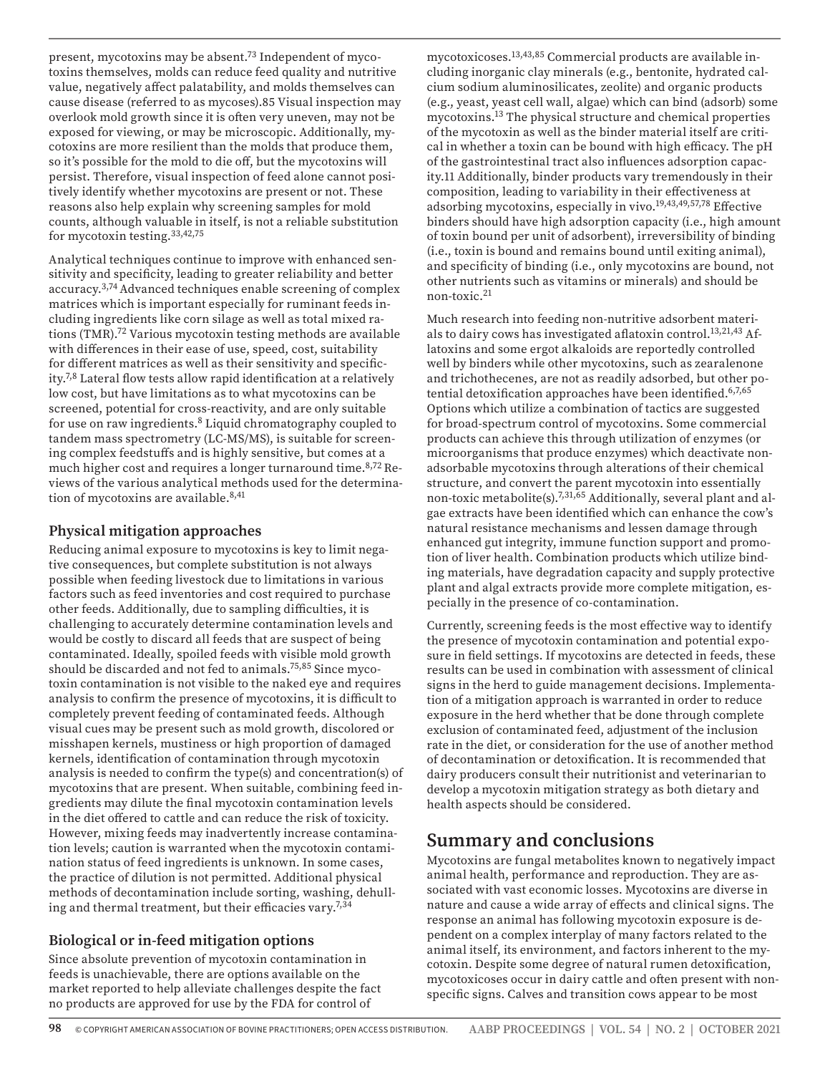present, mycotoxins may be absent.<sup>73</sup> Independent of mycotoxins themselves, molds can reduce feed quality and nutritive value, negatively affect palatability, and molds themselves can cause disease (referred to as mycoses).85 Visual inspection may overlook mold growth since it is often very uneven, may not be exposed for viewing, or may be microscopic. Additionally, mycotoxins are more resilient than the molds that produce them, so it's possible for the mold to die off, but the mycotoxins will persist. Therefore, visual inspection of feed alone cannot positively identify whether mycotoxins are present or not. These reasons also help explain why screening samples for mold counts, although valuable in itself, is not a reliable substitution for mycotoxin testing.33,42,75

Analytical techniques continue to improve with enhanced sensitivity and specificity, leading to greater reliability and better accuracy.3,74 Advanced techniques enable screening of complex matrices which is important especially for ruminant feeds including ingredients like corn silage as well as total mixed rations (TMR).72 Various mycotoxin testing methods are available with differences in their ease of use, speed, cost, suitability for different matrices as well as their sensitivity and specificity.7,8 Lateral flow tests allow rapid identification at a relatively low cost, but have limitations as to what mycotoxins can be screened, potential for cross-reactivity, and are only suitable for use on raw ingredients.8 Liquid chromatography coupled to tandem mass spectrometry (LC-MS/MS), is suitable for screening complex feedstuffs and is highly sensitive, but comes at a much higher cost and requires a longer turnaround time.<sup>8,72</sup> Reviews of the various analytical methods used for the determination of mycotoxins are available.<sup>8,41</sup>

#### **Physical mitigation approaches**

Reducing animal exposure to mycotoxins is key to limit negative consequences, but complete substitution is not always possible when feeding livestock due to limitations in various factors such as feed inventories and cost required to purchase other feeds. Additionally, due to sampling difficulties, it is challenging to accurately determine contamination levels and would be costly to discard all feeds that are suspect of being contaminated. Ideally, spoiled feeds with visible mold growth should be discarded and not fed to animals.75,85 Since mycotoxin contamination is not visible to the naked eye and requires analysis to confirm the presence of mycotoxins, it is difficult to completely prevent feeding of contaminated feeds. Although visual cues may be present such as mold growth, discolored or misshapen kernels, mustiness or high proportion of damaged kernels, identification of contamination through mycotoxin analysis is needed to confirm the type(s) and concentration(s) of mycotoxins that are present. When suitable, combining feed ingredients may dilute the final mycotoxin contamination levels in the diet offered to cattle and can reduce the risk of toxicity. However, mixing feeds may inadvertently increase contamination levels; caution is warranted when the mycotoxin contamination status of feed ingredients is unknown. In some cases, the practice of dilution is not permitted. Additional physical methods of decontamination include sorting, washing, dehulling and thermal treatment, but their efficacies vary.7,34

#### **Biological or in-feed mitigation options**

Since absolute prevention of mycotoxin contamination in feeds is unachievable, there are options available on the market reported to help alleviate challenges despite the fact no products are approved for use by the FDA for control of

mycotoxicoses.13,43,85 Commercial products are available including inorganic clay minerals (e.g., bentonite, hydrated calcium sodium aluminosilicates, zeolite) and organic products (e.g., yeast, yeast cell wall, algae) which can bind (adsorb) some mycotoxins.13 The physical structure and chemical properties of the mycotoxin as well as the binder material itself are critical in whether a toxin can be bound with high efficacy. The pH of the gastrointestinal tract also influences adsorption capacity.11 Additionally, binder products vary tremendously in their composition, leading to variability in their effectiveness at adsorbing mycotoxins, especially in vivo.19,43,49,57,78 Effective binders should have high adsorption capacity (i.e., high amount of toxin bound per unit of adsorbent), irreversibility of binding (i.e., toxin is bound and remains bound until exiting animal), and specificity of binding (i.e., only mycotoxins are bound, not other nutrients such as vitamins or minerals) and should be non-toxic.21

Much research into feeding non-nutritive adsorbent materials to dairy cows has investigated aflatoxin control.<sup>13,21,43</sup> Aflatoxins and some ergot alkaloids are reportedly controlled well by binders while other mycotoxins, such as zearalenone and trichothecenes, are not as readily adsorbed, but other potential detoxification approaches have been identified.<sup>6,7,65</sup> Options which utilize a combination of tactics are suggested for broad-spectrum control of mycotoxins. Some commercial products can achieve this through utilization of enzymes (or microorganisms that produce enzymes) which deactivate nonadsorbable mycotoxins through alterations of their chemical structure, and convert the parent mycotoxin into essentially non-toxic metabolite(s).7,31,65 Additionally, several plant and algae extracts have been identified which can enhance the cow's natural resistance mechanisms and lessen damage through enhanced gut integrity, immune function support and promotion of liver health. Combination products which utilize binding materials, have degradation capacity and supply protective plant and algal extracts provide more complete mitigation, especially in the presence of co-contamination.

Currently, screening feeds is the most effective way to identify the presence of mycotoxin contamination and potential exposure in field settings. If mycotoxins are detected in feeds, these results can be used in combination with assessment of clinical signs in the herd to guide management decisions. Implementation of a mitigation approach is warranted in order to reduce exposure in the herd whether that be done through complete exclusion of contaminated feed, adjustment of the inclusion rate in the diet, or consideration for the use of another method of decontamination or detoxification. It is recommended that dairy producers consult their nutritionist and veterinarian to develop a mycotoxin mitigation strategy as both dietary and health aspects should be considered.

## **Summary and conclusions**

Mycotoxins are fungal metabolites known to negatively impact animal health, performance and reproduction. They are associated with vast economic losses. Mycotoxins are diverse in nature and cause a wide array of effects and clinical signs. The response an animal has following mycotoxin exposure is dependent on a complex interplay of many factors related to the animal itself, its environment, and factors inherent to the mycotoxin. Despite some degree of natural rumen detoxification, mycotoxicoses occur in dairy cattle and often present with nonspecific signs. Calves and transition cows appear to be most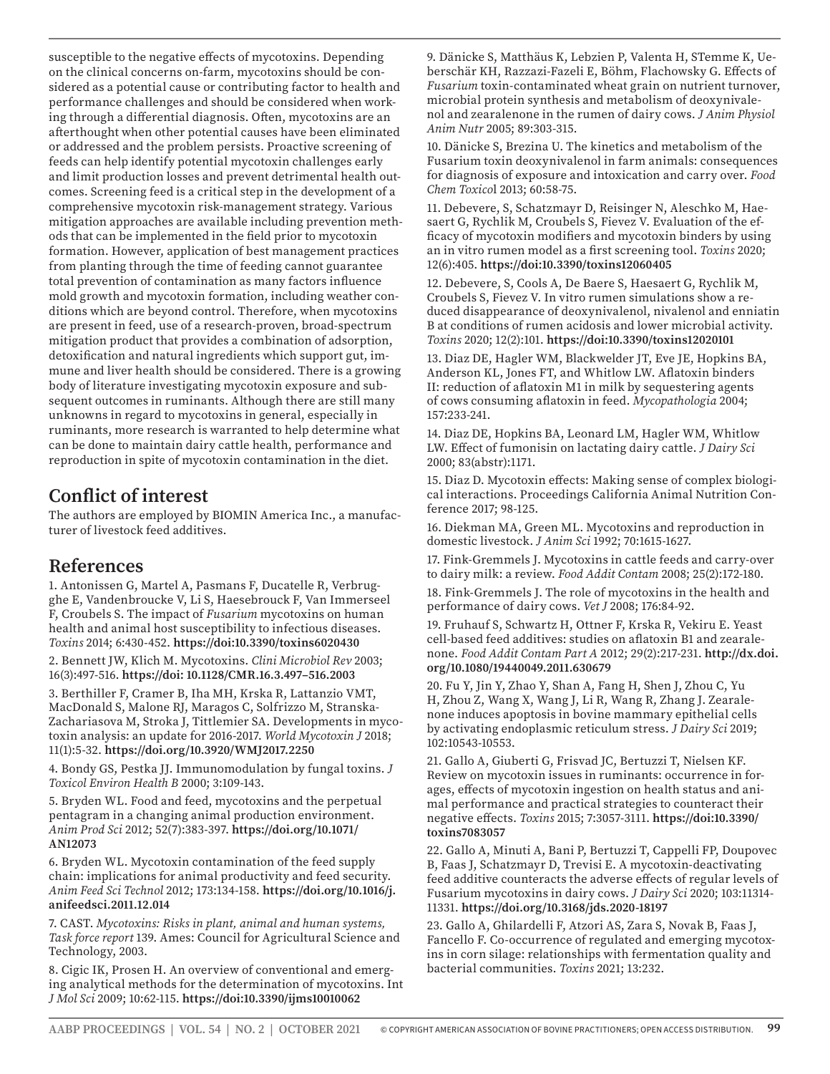susceptible to the negative effects of mycotoxins. Depending on the clinical concerns on-farm, mycotoxins should be considered as a potential cause or contributing factor to health and performance challenges and should be considered when working through a differential diagnosis. Often, mycotoxins are an afterthought when other potential causes have been eliminated or addressed and the problem persists. Proactive screening of feeds can help identify potential mycotoxin challenges early and limit production losses and prevent detrimental health outcomes. Screening feed is a critical step in the development of a comprehensive mycotoxin risk-management strategy. Various mitigation approaches are available including prevention methods that can be implemented in the field prior to mycotoxin formation. However, application of best management practices from planting through the time of feeding cannot guarantee total prevention of contamination as many factors influence mold growth and mycotoxin formation, including weather conditions which are beyond control. Therefore, when mycotoxins are present in feed, use of a research-proven, broad-spectrum mitigation product that provides a combination of adsorption, detoxification and natural ingredients which support gut, immune and liver health should be considered. There is a growing body of literature investigating mycotoxin exposure and subsequent outcomes in ruminants. Although there are still many unknowns in regard to mycotoxins in general, especially in ruminants, more research is warranted to help determine what can be done to maintain dairy cattle health, performance and reproduction in spite of mycotoxin contamination in the diet.

## **Conflict of interest**

The authors are employed by BIOMIN America Inc., a manufacturer of livestock feed additives.

## **References**

1. Antonissen G, Martel A, Pasmans F, Ducatelle R, Verbrugghe E, Vandenbroucke V, Li S, Haesebrouck F, Van Immerseel F, Croubels S. The impact of *Fusarium* mycotoxins on human health and animal host susceptibility to infectious diseases. *Toxins* 2014; 6:430-452. **https://doi:10.3390/toxins6020430**

2. Bennett JW, Klich M. Mycotoxins. *Clini Microbiol Rev* 2003; 16(3):497-516. **https://doi: 10.1128/CMR.16.3.497–516.2003**

3. Berthiller F, Cramer B, Iha MH, Krska R, Lattanzio VMT, MacDonald S, Malone RJ, Maragos C, Solfrizzo M, Stranska-Zachariasova M, Stroka J, Tittlemier SA. Developments in mycotoxin analysis: an update for 2016-2017. *World Mycotoxin J* 2018; 11(1):5-32. **https://doi.org/10.3920/WMJ2017.2250**

4. Bondy GS, Pestka JJ. Immunomodulation by fungal toxins. *J Toxicol Environ Health B* 2000; 3:109-143.

5. Bryden WL. Food and feed, mycotoxins and the perpetual pentagram in a changing animal production environment. *Anim Prod Sci* 2012; 52(7):383-397. **https://doi.org/10.1071/ AN12073**

6. Bryden WL. Mycotoxin contamination of the feed supply chain: implications for animal productivity and feed security. *Anim Feed Sci Technol* 2012; 173:134-158. **https://doi.org/10.1016/j. anifeedsci.2011.12.014**

7. CAST. *Mycotoxins: Risks in plant, animal and human systems, Task force report* 139. Ames: Council for Agricultural Science and Technology, 2003.

8. Cigic IK, Prosen H. An overview of conventional and emerging analytical methods for the determination of mycotoxins. Int *J Mol Sci* 2009; 10:62-115. **https://doi:10.3390/ijms10010062**

9. Dänicke S, Matthäus K, Lebzien P, Valenta H, STemme K, Ueberschär KH, Razzazi-Fazeli E, Böhm, Flachowsky G. Effects of *Fusarium* toxin-contaminated wheat grain on nutrient turnover, microbial protein synthesis and metabolism of deoxynivalenol and zearalenone in the rumen of dairy cows. *J Anim Physiol Anim Nutr* 2005; 89:303-315.

10. Dänicke S, Brezina U. The kinetics and metabolism of the Fusarium toxin deoxynivalenol in farm animals: consequences for diagnosis of exposure and intoxication and carry over. *Food Chem Toxico*l 2013; 60:58-75.

11. Debevere, S, Schatzmayr D, Reisinger N, Aleschko M, Haesaert G, Rychlik M, Croubels S, Fievez V. Evaluation of the efficacy of mycotoxin modifiers and mycotoxin binders by using an in vitro rumen model as a first screening tool. *Toxins* 2020; 12(6):405. **https://doi:10.3390/toxins12060405**

12. Debevere, S, Cools A, De Baere S, Haesaert G, Rychlik M, Croubels S, Fievez V. In vitro rumen simulations show a reduced disappearance of deoxynivalenol, nivalenol and enniatin B at conditions of rumen acidosis and lower microbial activity. *Toxins* 2020; 12(2):101. **https://doi:10.3390/toxins12020101**

13. Diaz DE, Hagler WM, Blackwelder JT, Eve JE, Hopkins BA, Anderson KL, Jones FT, and Whitlow LW. Aflatoxin binders II: reduction of aflatoxin M1 in milk by sequestering agents of cows consuming aflatoxin in feed. *Mycopathologia* 2004; 157:233-241.

14. Diaz DE, Hopkins BA, Leonard LM, Hagler WM, Whitlow LW. Effect of fumonisin on lactating dairy cattle. *J Dairy Sci* 2000; 83(abstr):1171.

15. Diaz D. Mycotoxin effects: Making sense of complex biological interactions. Proceedings California Animal Nutrition Conference 2017; 98-125.

16. Diekman MA, Green ML. Mycotoxins and reproduction in domestic livestock. *J Anim Sci* 1992; 70:1615-1627.

17. Fink-Gremmels J. Mycotoxins in cattle feeds and carry-over to dairy milk: a review. *Food Addit Contam* 2008; 25(2):172-180.

18. Fink-Gremmels J. The role of mycotoxins in the health and performance of dairy cows. *Vet J* 2008; 176:84-92.

19. Fruhauf S, Schwartz H, Ottner F, Krska R, Vekiru E. Yeast cell-based feed additives: studies on aflatoxin B1 and zearalenone. *Food Addit Contam Part A* 2012; 29(2):217-231. **http://dx.doi. org/10.1080/19440049.2011.630679**

20. Fu Y, Jin Y, Zhao Y, Shan A, Fang H, Shen J, Zhou C, Yu H, Zhou Z, Wang X, Wang J, Li R, Wang R, Zhang J. Zearalenone induces apoptosis in bovine mammary epithelial cells by activating endoplasmic reticulum stress. *J Dairy Sci* 2019; 102:10543-10553.

21. Gallo A, Giuberti G, Frisvad JC, Bertuzzi T, Nielsen KF. Review on mycotoxin issues in ruminants: occurrence in forages, effects of mycotoxin ingestion on health status and animal performance and practical strategies to counteract their negative effects. *Toxins* 2015; 7:3057-3111. **https://doi:10.3390/ toxins7083057**

22. Gallo A, Minuti A, Bani P, Bertuzzi T, Cappelli FP, Doupovec B, Faas J, Schatzmayr D, Trevisi E. A mycotoxin-deactivating feed additive counteracts the adverse effects of regular levels of Fusarium mycotoxins in dairy cows. *J Dairy Sci* 2020; 103:11314- 11331. **https://doi.org/10.3168/jds.2020-18197**

23. Gallo A, Ghilardelli F, Atzori AS, Zara S, Novak B, Faas J, Fancello F. Co-occurrence of regulated and emerging mycotoxins in corn silage: relationships with fermentation quality and bacterial communities. *Toxins* 2021; 13:232.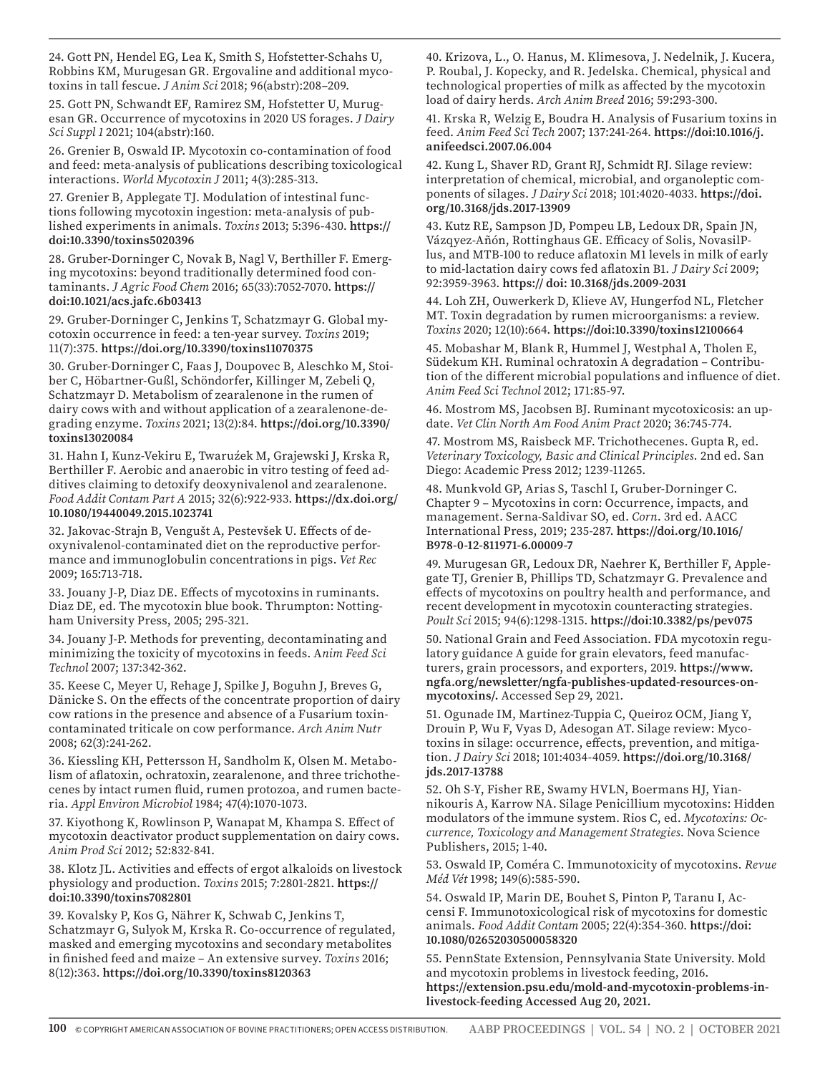24. Gott PN, Hendel EG, Lea K, Smith S, Hofstetter-Schahs U, Robbins KM, Murugesan GR. Ergovaline and additional mycotoxins in tall fescue. *J Anim Sci* 2018; 96(abstr):208–209.

25. Gott PN, Schwandt EF, Ramirez SM, Hofstetter U, Murugesan GR. Occurrence of mycotoxins in 2020 US forages. *J Dairy Sci Suppl 1* 2021; 104(abstr):160.

26. Grenier B, Oswald IP. Mycotoxin co-contamination of food and feed: meta-analysis of publications describing toxicological interactions. *World Mycotoxin J* 2011; 4(3):285-313.

27. Grenier B, Applegate TJ. Modulation of intestinal functions following mycotoxin ingestion: meta-analysis of published experiments in animals. *Toxins* 2013; 5:396-430. **https:// doi:10.3390/toxins5020396**

28. Gruber-Dorninger C, Novak B, Nagl V, Berthiller F. Emerging mycotoxins: beyond traditionally determined food contaminants. *J Agric Food Chem* 2016; 65(33):7052-7070. **https:// doi:10.1021/acs.jafc.6b03413**

29. Gruber-Dorninger C, Jenkins T, Schatzmayr G. Global mycotoxin occurrence in feed: a ten-year survey. *Toxins* 2019; 11(7):375. **https://doi.org/10.3390/toxins11070375**

30. Gruber-Dorninger C, Faas J, Doupovec B, Aleschko M, Stoiber C, Höbartner-Gußl, Schöndorfer, Killinger M, Zebeli Q, Schatzmayr D. Metabolism of zearalenone in the rumen of dairy cows with and without application of a zearalenone-degrading enzyme. *Toxins* 2021; 13(2):84. **https://doi.org/10.3390/ toxins13020084**

31. Hahn I, Kunz-Vekiru E, Twaruźek M, Grajewski J, Krska R, Berthiller F. Aerobic and anaerobic in vitro testing of feed additives claiming to detoxify deoxynivalenol and zearalenone. *Food Addit Contam Part A* 2015; 32(6):922-933. **https://dx.doi.org/ 10.1080/19440049.2015.1023741**

32. Jakovac-Strajn B, Vengušt A, Pestevšek U. Effects of deoxynivalenol-contaminated diet on the reproductive performance and immunoglobulin concentrations in pigs. *Vet Rec* 2009; 165:713-718.

33. Jouany J-P, Diaz DE. Effects of mycotoxins in ruminants. Diaz DE, ed. The mycotoxin blue book. Thrumpton: Nottingham University Press, 2005; 295-321.

34. Jouany J-P. Methods for preventing, decontaminating and minimizing the toxicity of mycotoxins in feeds. A*nim Feed Sci Technol* 2007; 137:342-362.

35. Keese C, Meyer U, Rehage J, Spilke J, Boguhn J, Breves G, Dänicke S. On the effects of the concentrate proportion of dairy cow rations in the presence and absence of a Fusarium toxincontaminated triticale on cow performance. *Arch Anim Nutr*  2008; 62(3):241-262.

36. Kiessling KH, Pettersson H, Sandholm K, Olsen M. Metabolism of aflatoxin, ochratoxin, zearalenone, and three trichothecenes by intact rumen fluid, rumen protozoa, and rumen bacteria. *Appl Environ Microbiol* 1984; 47(4):1070-1073.

37. Kiyothong K, Rowlinson P, Wanapat M, Khampa S. Effect of mycotoxin deactivator product supplementation on dairy cows. *Anim Prod Sci* 2012; 52:832-841.

38. Klotz JL. Activities and effects of ergot alkaloids on livestock physiology and production. *Toxins* 2015; 7:2801-2821. **https:// doi:10.3390/toxins7082801**

39. Kovalsky P, Kos G, Nährer K, Schwab C, Jenkins T, Schatzmayr G, Sulyok M, Krska R. Co-occurrence of regulated, masked and emerging mycotoxins and secondary metabolites in finished feed and maize – An extensive survey. *Toxins* 2016; 8(12):363. **https://doi.org/10.3390/toxins8120363**

40. Krizova, L., O. Hanus, M. Klimesova, J. Nedelnik, J. Kucera, P. Roubal, J. Kopecky, and R. Jedelska. Chemical, physical and technological properties of milk as affected by the mycotoxin load of dairy herds. *Arch Anim Breed* 2016; 59:293-300.

41. Krska R, Welzig E, Boudra H. Analysis of Fusarium toxins in feed. *Anim Feed Sci Tech* 2007; 137:241-264. **https://doi:10.1016/j. anifeedsci.2007.06.004**

42. Kung L, Shaver RD, Grant RJ, Schmidt RJ. Silage review: interpretation of chemical, microbial, and organoleptic components of silages. *J Dairy Sci* 2018; 101:4020-4033. **https://doi. org/10.3168/jds.2017-13909**

43. Kutz RE, Sampson JD, Pompeu LB, Ledoux DR, Spain JN, Vázqyez-Añón, Rottinghaus GE. Efficacy of Solis, NovasilPlus, and MTB-100 to reduce aflatoxin M1 levels in milk of early to mid-lactation dairy cows fed aflatoxin B1. *J Dairy Sci* 2009; 92:3959-3963. **https:// doi: 10.3168/jds.2009-2031**

44. Loh ZH, Ouwerkerk D, Klieve AV, Hungerfod NL, Fletcher MT. Toxin degradation by rumen microorganisms: a review. *Toxins* 2020; 12(10):664. **https://doi:10.3390/toxins12100664**

45. Mobashar M, Blank R, Hummel J, Westphal A, Tholen E, Südekum KH. Ruminal ochratoxin A degradation – Contribution of the different microbial populations and influence of diet. *Anim Feed Sci Technol* 2012; 171:85-97.

46. Mostrom MS, Jacobsen BJ. Ruminant mycotoxicosis: an update. *Vet Clin North Am Food Anim Pract* 2020; 36:745-774.

47. Mostrom MS, Raisbeck MF. Trichothecenes. Gupta R, ed. *Veterinary Toxicology, Basic and Clinical Principles*. 2nd ed. San Diego: Academic Press 2012; 1239-11265.

48. Munkvold GP, Arias S, Taschl I, Gruber-Dorninger C. Chapter 9 – Mycotoxins in corn: Occurrence, impacts, and management. Serna-Saldivar SO, ed. *Corn*. 3rd ed. AACC International Press, 2019; 235-287. **https://doi.org/10.1016/ B978-0-12-811971-6.00009-7**

49. Murugesan GR, Ledoux DR, Naehrer K, Berthiller F, Applegate TJ, Grenier B, Phillips TD, Schatzmayr G. Prevalence and effects of mycotoxins on poultry health and performance, and recent development in mycotoxin counteracting strategies. *Poult Sci* 2015; 94(6):1298-1315. **https://doi:10.3382/ps/pev075**

50. National Grain and Feed Association. FDA mycotoxin regulatory guidance A guide for grain elevators, feed manufacturers, grain processors, and exporters, 2019. **https://www. ngfa.org/newsletter/ngfa-publishes-updated-resources-onmycotoxins/.** Accessed Sep 29, 2021.

51. Ogunade IM, Martinez-Tuppia C, Queiroz OCM, Jiang Y, Drouin P, Wu F, Vyas D, Adesogan AT. Silage review: Mycotoxins in silage: occurrence, effects, prevention, and mitigation. *J Dairy Sci* 2018; 101:4034-4059. **https://doi.org/10.3168/ jds.2017-13788**

52. Oh S-Y, Fisher RE, Swamy HVLN, Boermans HJ, Yiannikouris A, Karrow NA. Silage Penicillium mycotoxins: Hidden modulators of the immune system. Rios C, ed. *Mycotoxins: Occurrence, Toxicology and Management Strategies*. Nova Science Publishers, 2015; 1-40.

53. Oswald IP, Coméra C. Immunotoxicity of mycotoxins. *Revue Méd Vét* 1998; 149(6):585-590.

54. Oswald IP, Marin DE, Bouhet S, Pinton P, Taranu I, Accensi F. Immunotoxicological risk of mycotoxins for domestic animals. *Food Addit Contam* 2005; 22(4):354-360. **https://doi: 10.1080/02652030500058320**

55. PennState Extension, Pennsylvania State University. Mold and mycotoxin problems in livestock feeding, 2016. **https://extension.psu.edu/mold-and-mycotoxin-problems-inlivestock-feeding Accessed Aug 20, 2021.**